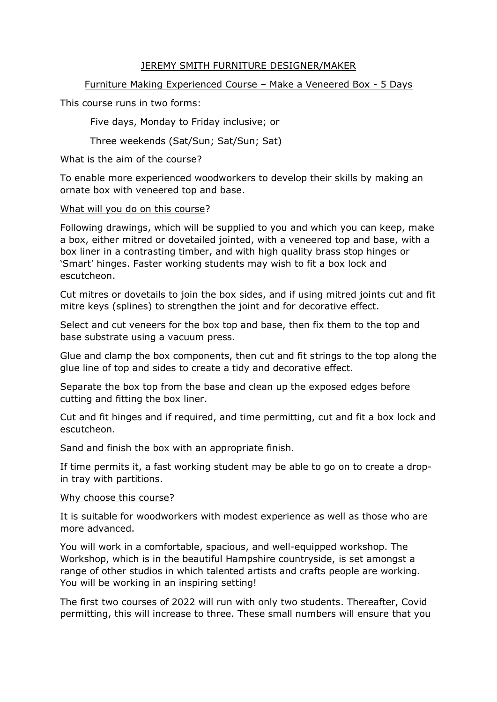### JEREMY SMITH FURNITURE DESIGNER/MAKER

## Furniture Making Experienced Course – Make a Veneered Box - 5 Days

This course runs in two forms:

Five days, Monday to Friday inclusive; or

Three weekends (Sat/Sun; Sat/Sun; Sat)

### What is the aim of the course?

To enable more experienced woodworkers to develop their skills by making an ornate box with veneered top and base.

#### What will you do on this course?

Following drawings, which will be supplied to you and which you can keep, make a box, either mitred or dovetailed jointed, with a veneered top and base, with a box liner in a contrasting timber, and with high quality brass stop hinges or 'Smart' hinges. Faster working students may wish to fit a box lock and escutcheon.

Cut mitres or dovetails to join the box sides, and if using mitred joints cut and fit mitre keys (splines) to strengthen the joint and for decorative effect.

Select and cut veneers for the box top and base, then fix them to the top and base substrate using a vacuum press.

Glue and clamp the box components, then cut and fit strings to the top along the glue line of top and sides to create a tidy and decorative effect.

Separate the box top from the base and clean up the exposed edges before cutting and fitting the box liner.

Cut and fit hinges and if required, and time permitting, cut and fit a box lock and escutcheon.

Sand and finish the box with an appropriate finish.

If time permits it, a fast working student may be able to go on to create a dropin tray with partitions.

#### Why choose this course?

It is suitable for woodworkers with modest experience as well as those who are more advanced.

You will work in a comfortable, spacious, and well-equipped workshop. The Workshop, which is in the beautiful Hampshire countryside, is set amongst a range of other studios in which talented artists and crafts people are working. You will be working in an inspiring setting!

The first two courses of 2022 will run with only two students. Thereafter, Covid permitting, this will increase to three. These small numbers will ensure that you